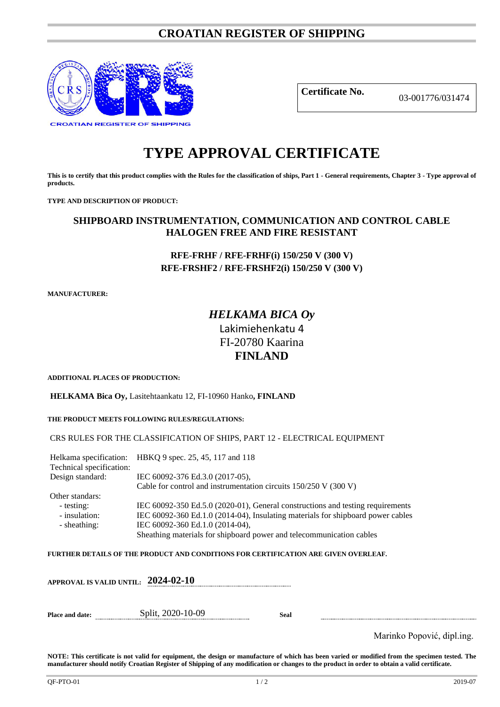# **CROATIAN REGISTER OF SHIPPING**



**Certificate No.** 03-001776/031474

# **TYPE APPROVAL CERTIFICATE**

**This is to certify that this product complies with the Rules for the classification of ships, Part 1 - General requirements, Chapter 3 - Type approval of products.**

**TYPE AND DESCRIPTION OF PRODUCT:** 

# **SHIPBOARD INSTRUMENTATION, COMMUNICATION AND CONTROL CABLE HALOGEN FREE AND FIRE RESISTANT**

# **RFE-FRHF / RFE-FRHF(i) 150/250 V (300 V) RFE-FRSHF2 / RFE-FRSHF2(i) 150/250 V (300 V)**

**MANUFACTURER:**

# *HELKAMA BICA Oy* Lakimiehenkatu 4 FI-20780 Kaarina **FINLAND**

**ADDITIONAL PLACES OF PRODUCTION:**

**HELKAMA Bica Oy,** Lasitehtaankatu 12, FI-10960 Hanko**, FINLAND**

**THE PRODUCT MEETS FOLLOWING RULES/REGULATIONS:**

CRS RULES FOR THE CLASSIFICATION OF SHIPS, PART 12 - ELECTRICAL EQUIPMENT

Helkama specification: HBKQ 9 spec. 25, 45, 117 and 118 Technical specification: Design standard: IEC 60092-376 Ed.3.0 (2017-05), Cable for control and instrumentation circuits 150/250 V (300 V) Other standars: - testing: IEC 60092-350 Ed.5.0 (2020-01), General constructions and testing requirements<br>- insulation: IEC 60092-360 Ed.1.0 (2014-04), Insulating materials for shipboard power cables IEC 60092-360 Ed.1.0 (2014-04), Insulating materials for shipboard power cables - sheathing: IEC 60092-360 Ed.1.0 (2014-04), Sheathing materials for shipboard power and telecommunication cables

**FURTHER DETAILS OF THE PRODUCT AND CONDITIONS FOR CERTIFICATION ARE GIVEN OVERLEAF.**

|                        | APPROVAL IS VALID UNTIL: $\,$ 2024-02-10 $\,$ |      |                            |
|------------------------|-----------------------------------------------|------|----------------------------|
| <b>Place and date:</b> | Split, 2020-10-09                             | Seal |                            |
|                        |                                               |      | Marinko Popović, dipl.ing. |

**NOTE: This certificate is not valid for equipment, the design or manufacture of which has been varied or modified from the specimen tested. The manufacturer should notify Croatian Register of Shipping of any modification or changes to the product in order to obtain a valid certificate.**